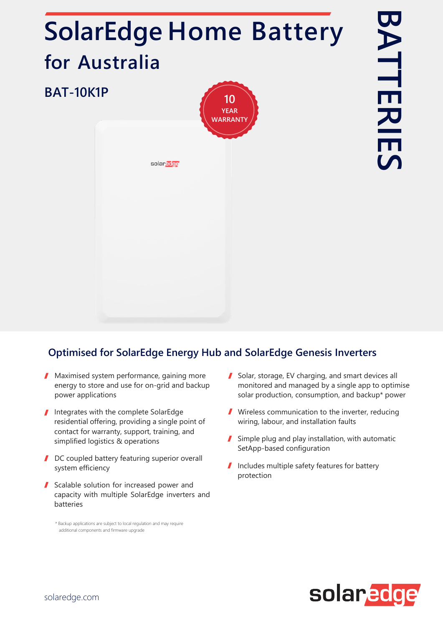## **SolarEdge Home Battery for Australia BAT-10K1P 10 YEAR WARRANTY**solaredge

## **Optimised for SolarEdge Energy Hub and SolarEdge Genesis Inverters**

- **Maximised system performance, gaining more** energy to store and use for on-grid and backup power applications
- Integrates with the complete SolarEdge residential offering, providing a single point of contact for warranty, support, training, and simplified logistics & operations
- DC coupled battery featuring superior overall system efficiency
- Scalable solution for increased power and capacity with multiple SolarEdge inverters and batteries

\* Backup applications are subject to local regulation and may require additional components and firmware upgrade

- Solar, storage, EV charging, and smart devices all monitored and managed by a single app to optimise solar production, consumption, and backup\* power
- Wireless communication to the inverter, reducing wiring, labour, and installation faults
- Simple plug and play installation, with automatic SetApp-based configuration
- Includes multiple safety features for battery protection